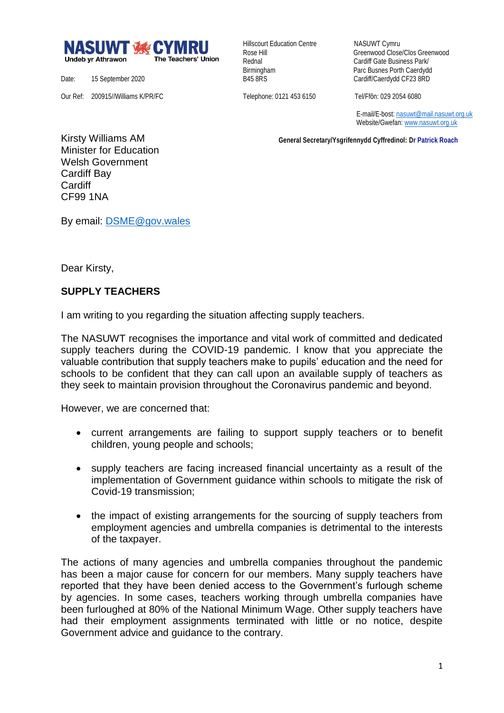

Hillscourt Education Centre NASUWT Cymru

Rose Hill Greenwood Close/Clos Greenwood Rednal **Cardiff Gate Business Park/** Birmingham Parc Busnes Porth Caerdydd<br>
B45 8RS<br>
Cardiff/Caerdydd CF23 8RD Cardiff/Caerdydd CF23 8RD

Date: 15 September 2020 Our Ref: 200915//Williams K/PR/FC

Telephone: 0121 453 6150 Tel/Ffôn: 029 2054 6080

 E-mail/E-bost[: nasuwt@mail.nasuwt.org.uk](mailto:nasuwt@mail.nasuwt.org.uk) Website/Gwefan: [www.nasuwt.org.uk](http://www.nasuwt.org.uk/)

 **General Secretary/Ysgrifennydd Cyffredinol: Dr Patrick Roach**

Kirsty Williams AM Minister for Education Welsh Government Cardiff Bay **Cardiff** CF99 1NA

By email: [DSME@gov.wales](mailto:DSME@gov.wales)

Dear Kirsty,

## **SUPPLY TEACHERS**

I am writing to you regarding the situation affecting supply teachers.

The NASUWT recognises the importance and vital work of committed and dedicated supply teachers during the COVID-19 pandemic. I know that you appreciate the valuable contribution that supply teachers make to pupils' education and the need for schools to be confident that they can call upon an available supply of teachers as they seek to maintain provision throughout the Coronavirus pandemic and beyond.

However, we are concerned that:

- current arrangements are failing to support supply teachers or to benefit children, young people and schools;
- supply teachers are facing increased financial uncertainty as a result of the implementation of Government guidance within schools to mitigate the risk of Covid-19 transmission;
- the impact of existing arrangements for the sourcing of supply teachers from employment agencies and umbrella companies is detrimental to the interests of the taxpayer.

The actions of many agencies and umbrella companies throughout the pandemic has been a major cause for concern for our members. Many supply teachers have reported that they have been denied access to the Government's furlough scheme by agencies. In some cases, teachers working through umbrella companies have been furloughed at 80% of the National Minimum Wage. Other supply teachers have had their employment assignments terminated with little or no notice, despite Government advice and guidance to the contrary.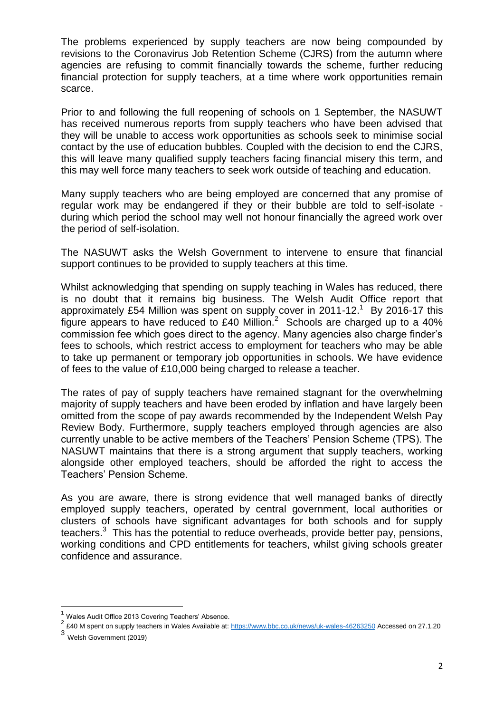The problems experienced by supply teachers are now being compounded by revisions to the Coronavirus Job Retention Scheme (CJRS) from the autumn where agencies are refusing to commit financially towards the scheme, further reducing financial protection for supply teachers, at a time where work opportunities remain scarce.

Prior to and following the full reopening of schools on 1 September, the NASUWT has received numerous reports from supply teachers who have been advised that they will be unable to access work opportunities as schools seek to minimise social contact by the use of education bubbles. Coupled with the decision to end the CJRS, this will leave many qualified supply teachers facing financial misery this term, and this may well force many teachers to seek work outside of teaching and education.

Many supply teachers who are being employed are concerned that any promise of regular work may be endangered if they or their bubble are told to self-isolate during which period the school may well not honour financially the agreed work over the period of self-isolation.

The NASUWT asks the Welsh Government to intervene to ensure that financial support continues to be provided to supply teachers at this time.

Whilst acknowledging that spending on supply teaching in Wales has reduced, there is no doubt that it remains big business. The Welsh Audit Office report that approximately £54 Million was spent on supply cover in 2011-12.<sup>1</sup> By 2016-17 this figure appears to have reduced to £40 Million.<sup>2</sup> Schools are charged up to a 40% commission fee which goes direct to the agency. Many agencies also charge finder's fees to schools, which restrict access to employment for teachers who may be able to take up permanent or temporary job opportunities in schools. We have evidence of fees to the value of £10,000 being charged to release a teacher.

The rates of pay of supply teachers have remained stagnant for the overwhelming majority of supply teachers and have been eroded by inflation and have largely been omitted from the scope of pay awards recommended by the Independent Welsh Pay Review Body. Furthermore, supply teachers employed through agencies are also currently unable to be active members of the Teachers' Pension Scheme (TPS). The NASUWT maintains that there is a strong argument that supply teachers, working alongside other employed teachers, should be afforded the right to access the Teachers' Pension Scheme.

As you are aware, there is strong evidence that well managed banks of directly employed supply teachers, operated by central government, local authorities or clusters of schools have significant advantages for both schools and for supply teachers.<sup>3</sup> This has the potential to reduce overheads, provide better pay, pensions, working conditions and CPD entitlements for teachers, whilst giving schools greater confidence and assurance.

1

Wales Audit Office 2013 Covering Teachers' Absence.

<sup>&</sup>lt;sup>2</sup> £40 M spent on supply teachers in Wales Available at[: https://www.bbc.co.uk/news/uk-wales-46263250](https://www.bbc.co.uk/news/uk-wales-46263250) Accessed on 27.1.20

<sup>3</sup> Welsh Government (2019)